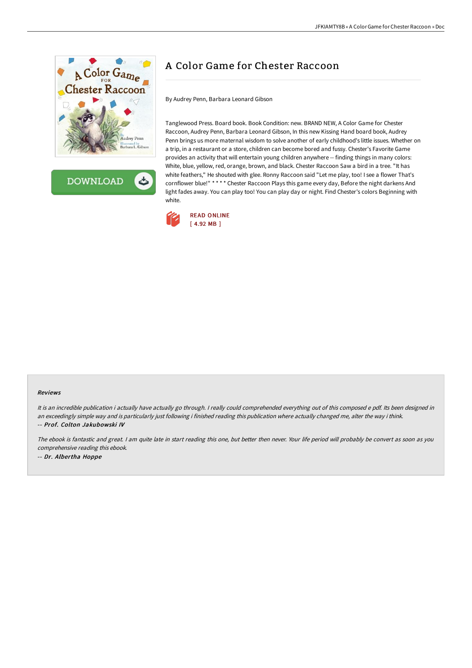

**DOWNLOAD** ٹ

# A Color Game for Chester Raccoon

By Audrey Penn, Barbara Leonard Gibson

Tanglewood Press. Board book. Book Condition: new. BRAND NEW, A Color Game for Chester Raccoon, Audrey Penn, Barbara Leonard Gibson, In this new Kissing Hand board book, Audrey Penn brings us more maternal wisdom to solve another of early childhood's little issues. Whether on a trip, in a restaurant or a store, children can become bored and fussy. Chester's Favorite Game provides an activity that will entertain young children anywhere -- finding things in many colors: White, blue, yellow, red, orange, brown, and black. Chester Raccoon Saw a bird in a tree. "It has white feathers," He shouted with glee. Ronny Raccoon said "Let me play, too! I see a flower That's cornflower blue!" \* \* \* \* Chester Raccoon Plays this game every day, Before the night darkens And light fades away. You can play too! You can play day or night. Find Chester's colors Beginning with white.



#### Reviews

It is an incredible publication i actually have actually go through. <sup>I</sup> really could comprehended everything out of this composed <sup>e</sup> pdf. Its been designed in an exceedingly simple way and is particularly just following i finished reading this publication where actually changed me, alter the way i think. -- Prof. Colton Jakubowski IV

The ebook is fantastic and great. <sup>I</sup> am quite late in start reading this one, but better then never. Your life period will probably be convert as soon as you comprehensive reading this ebook. -- Dr. Albertha Hoppe